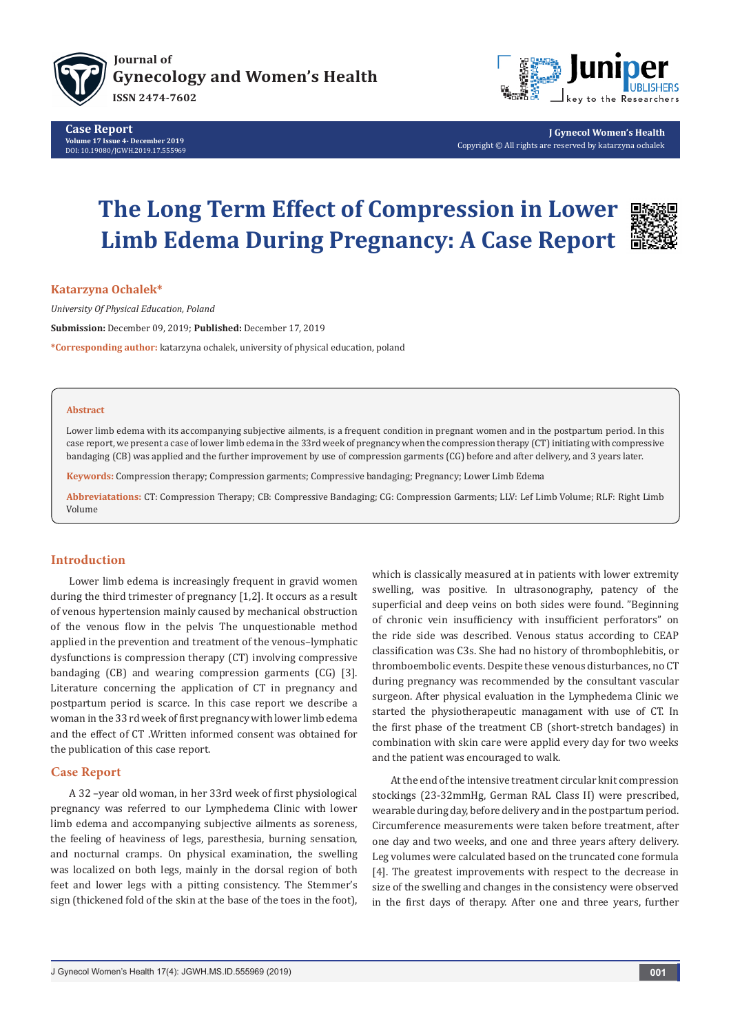



**J Gynecol Women's Health** Copyright © All rights are reserved by katarzyna ochalek

# **The Long Term Effect of Compression in Lower Limb Edema During Pregnancy: A Case Report**



**Katarzyna Ochalek\***

*University Of Physical Education, Poland*

**Submission:** December 09, 2019; **Published:** December 17, 2019

**\*Corresponding author:** katarzyna ochalek, university of physical education, poland

#### **Abstract**

Lower limb edema with its accompanying subjective ailments, is a frequent condition in pregnant women and in the postpartum period. In this case report, we present a case of lower limb edema in the 33rd week of pregnancy when the compression therapy (CT) initiating with compressive bandaging (CB) was applied and the further improvement by use of compression garments (CG) before and after delivery, and 3 years later.

**Keywords:** Compression therapy; Compression garments; Compressive bandaging; Pregnancy; Lower Limb Edema

**Abbreviatations:** CT: Compression Therapy; CB: Compressive Bandaging; CG: Compression Garments; LLV: Lef Limb Volume; RLF: Right Limb Volume

## **Introduction**

Lower limb edema is increasingly frequent in gravid women during the third trimester of pregnancy [1,2]. It occurs as a result of venous hypertension mainly caused by mechanical obstruction of the venous flow in the pelvis The unquestionable method applied in the prevention and treatment of the venous–lymphatic dysfunctions is compression therapy (CT) involving compressive bandaging (CB) and wearing compression garments (CG) [3]. Literature concerning the application of CT in pregnancy and postpartum period is scarce. In this case report we describe a woman in the 33 rd week of first pregnancy with lower limb edema and the effect of CT .Written informed consent was obtained for the publication of this case report.

## **Case Report**

A 32 –year old woman, in her 33rd week of first physiological pregnancy was referred to our Lymphedema Clinic with lower limb edema and accompanying subjective ailments as soreness, the feeling of heaviness of legs, paresthesia, burning sensation, and nocturnal cramps. On physical examination, the swelling was localized on both legs, mainly in the dorsal region of both feet and lower legs with a pitting consistency. The Stemmer's sign (thickened fold of the skin at the base of the toes in the foot), which is classically measured at in patients with lower extremity swelling, was positive. In ultrasonography, patency of the superficial and deep veins on both sides were found. "Beginning of chronic vein insufficiency with insufficient perforators" on the ride side was described. Venous status according to CEAP classification was C3s. She had no history of thrombophlebitis, or thromboembolic events. Despite these venous disturbances, no CT during pregnancy was recommended by the consultant vascular surgeon. After physical evaluation in the Lymphedema Clinic we started the physiotherapeutic managament with use of CT. In the first phase of the treatment CB (short-stretch bandages) in combination with skin care were applid every day for two weeks and the patient was encouraged to walk.

At the end of the intensive treatment circular knit compression stockings (23-32mmHg, German RAL Class II) were prescribed, wearable during day, before delivery and in the postpartum period. Circumference measurements were taken before treatment, after one day and two weeks, and one and three years aftery delivery. Leg volumes were calculated based on the truncated cone formula [4]. The greatest improvements with respect to the decrease in size of the swelling and changes in the consistency were observed in the first days of therapy. After one and three years, further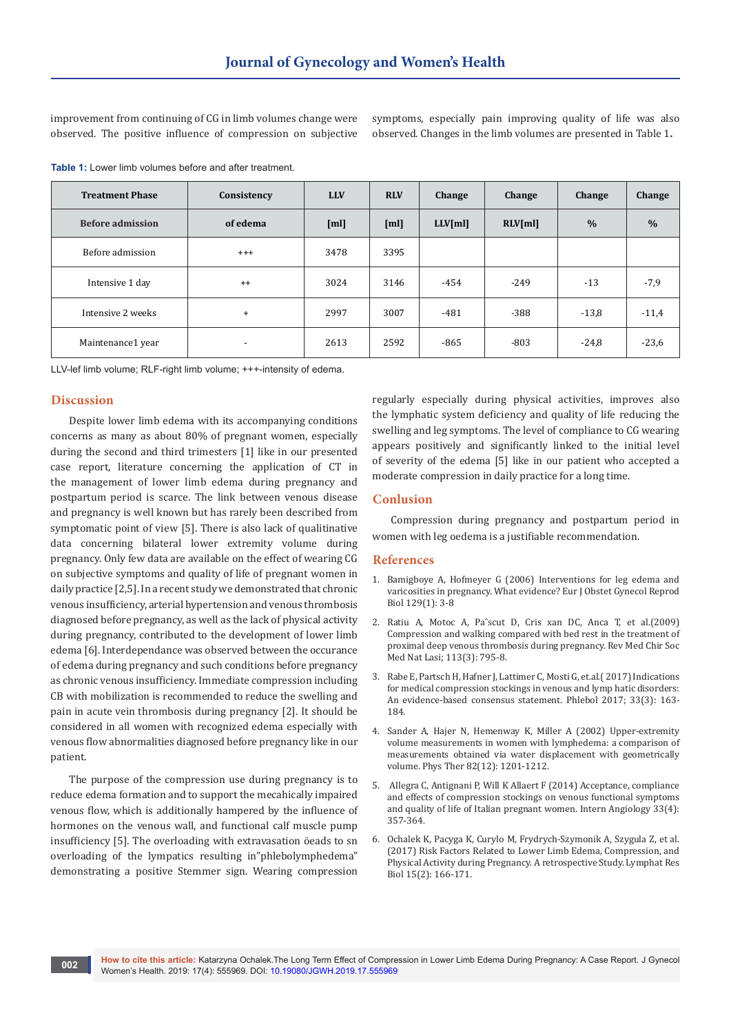improvement from continuing of CG in limb volumes change were observed. The positive influence of compression on subjective symptoms, especially pain improving quality of life was also observed. Changes in the limb volumes are presented in Table 1**.**

**Table 1:** Lower limb volumes before and after treatment.

| <b>Treatment Phase</b>  | Consistency              | <b>LLV</b> | <b>RLV</b> | <b>Change</b> | Change  | Change        | Change        |
|-------------------------|--------------------------|------------|------------|---------------|---------|---------------|---------------|
| <b>Before admission</b> | of edema                 | [m]        | [m]        | $LLV$ [ml]    | RLV[ml] | $\frac{0}{0}$ | $\frac{0}{0}$ |
| Before admission        | $^{+++}$                 | 3478       | 3395       |               |         |               |               |
| Intensive 1 day         | $++$                     | 3024       | 3146       | $-454$        | $-249$  | $-13$         | $-7,9$        |
| Intensive 2 weeks       | $\ddot{}$                | 2997       | 3007       | $-481$        | $-388$  | $-13,8$       | $-11,4$       |
| Maintenance1 year       | $\overline{\phantom{0}}$ | 2613       | 2592       | $-865$        | $-803$  | $-24,8$       | $-23,6$       |

LLV-lef limb volume; RLF-right limb volume; +++-intensity of edema.

# **Discussion**

Despite lower limb edema with its accompanying conditions concerns as many as about 80% of pregnant women, especially during the second and third trimesters [1] like in our presented case report, literature concerning the application of CT in the management of lower limb edema during pregnancy and postpartum period is scarce. The link between venous disease and pregnancy is well known but has rarely been described from symptomatic point of view [5]. There is also lack of qualitinative data concerning bilateral lower extremity volume during pregnancy. Only few data are available on the effect of wearing CG on subjective symptoms and quality of life of pregnant women in daily practice [2,5]. In a recent study we demonstrated that chronic venous insufficiency, arterial hypertension and venous thrombosis diagnosed before pregnancy, as well as the lack of physical activity during pregnancy, contributed to the development of lower limb edema [6]. Interdependance was observed between the occurance of edema during pregnancy and such conditions before pregnancy as chronic venous insufficiency. Immediate compression including CB with mobilization is recommended to reduce the swelling and pain in acute vein thrombosis during pregnancy [2]. It should be considered in all women with recognized edema especially with venous flow abnormalities diagnosed before pregnancy like in our patient.

The purpose of the compression use during pregnancy is to reduce edema formation and to support the mecahically impaired venous flow, which is additionally hampered by the influence of hormones on the venous wall, and functional calf muscle pump insufficiency [5]. The overloading with extravasation öeads to sn overloading of the lympatics resulting in"phlebolymphedema" demonstrating a positive Stemmer sign. Wearing compression

regularly especially during physical activities, improves also the lymphatic system deficiency and quality of life reducing the swelling and leg symptoms. The level of compliance to CG wearing appears positively and significantly linked to the initial level of severity of the edema [5] like in our patient who accepted a moderate compression in daily practice for a long time.

#### **Conlusion**

Compression during pregnancy and postpartum period in women with leg oedema is a justifiable recommendation.

#### **References**

- 1. [Bamigboye A, Hofmeyer G \(2006\) Interventions for leg edema and](https://www.ncbi.nlm.nih.gov/pubmed/16678328)  [varicosities in pregnancy. What evidence? Eur J Obstet Gynecol Reprod](https://www.ncbi.nlm.nih.gov/pubmed/16678328)  [Biol 129\(1\): 3-8](https://www.ncbi.nlm.nih.gov/pubmed/16678328)
- 2. [Ratiu A, Motoc A, Paˆscut D, Cris xan DC, Anca T, et al.\(2009\)](https://www.ncbi.nlm.nih.gov/pubmed/20191834)  [Compression and walking compared with bed rest in the treatment of](https://www.ncbi.nlm.nih.gov/pubmed/20191834)  [proximal deep venous thrombosis during pregnancy. Rev Med Chir Soc](https://www.ncbi.nlm.nih.gov/pubmed/20191834)  [Med Nat Lasi; 113\(3\): 795-8.](https://www.ncbi.nlm.nih.gov/pubmed/20191834)
- 3. [Rabe E, Partsch H, Hafner J, Lattimer C, Mosti G, et.al.\( 2017\) Indications](https://www.ncbi.nlm.nih.gov/pubmed/28549402)  [for medical compression stockings in venous and lymp hatic disorders:](https://www.ncbi.nlm.nih.gov/pubmed/28549402)  [An evidence-based consensus statement. Phlebol 2017; 33\(3\): 163-](https://www.ncbi.nlm.nih.gov/pubmed/28549402) [184.](https://www.ncbi.nlm.nih.gov/pubmed/28549402)
- 4. [Sander A, Hajer N, Hemenway K, Miller A \(2002\) Upper-extremity](https://www.ncbi.nlm.nih.gov/pubmed/12444879)  [volume measurements in women with lymphedema: a comparison of](https://www.ncbi.nlm.nih.gov/pubmed/12444879)  [measurements obtained via water displacement with geometrically](https://www.ncbi.nlm.nih.gov/pubmed/12444879)  [volume. Phys Ther 82\(12\): 1201-1212.](https://www.ncbi.nlm.nih.gov/pubmed/12444879)
- 5. [Allegra C, Antignani P, Will K Allaert F \(2014\) Acceptance, compliance](https://www.ncbi.nlm.nih.gov/pubmed/25056167)  [and effects of compression stockings on venous functional symptoms](https://www.ncbi.nlm.nih.gov/pubmed/25056167)  [and quality of life of Italian pregnant women. Intern Angiology 33\(4\):](https://www.ncbi.nlm.nih.gov/pubmed/25056167)  [357-364.](https://www.ncbi.nlm.nih.gov/pubmed/25056167)
- 6. [Ochalek K, Pacyga K, Curylo M, Frydrych-Szymonik A, Szygula Z, et al.](https://www.ncbi.nlm.nih.gov/pubmed/28346850)  [\(2017\) Risk Factors Related to Lower Limb Edema, Compression, and](https://www.ncbi.nlm.nih.gov/pubmed/28346850)  [Physical Activity during Pregnancy. A retrospective Study. Lymphat Res](https://www.ncbi.nlm.nih.gov/pubmed/28346850)  [Biol 15\(2\): 166-171.](https://www.ncbi.nlm.nih.gov/pubmed/28346850)